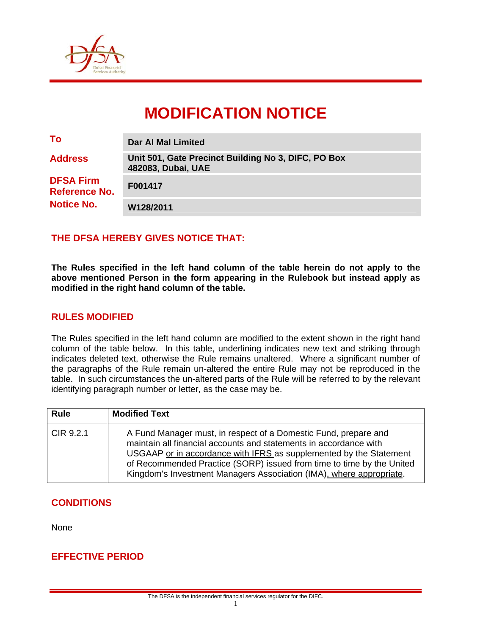

# **MODIFICATION NOTICE**

| To                                       | Dar AI Mal Limited                                                        |
|------------------------------------------|---------------------------------------------------------------------------|
| <b>Address</b>                           | Unit 501, Gate Precinct Building No 3, DIFC, PO Box<br>482083, Dubai, UAE |
| <b>DFSA Firm</b><br><b>Reference No.</b> | F001417                                                                   |
| <b>Notice No.</b>                        | W128/2011                                                                 |

## **THE DFSA HEREBY GIVES NOTICE THAT:**

**The Rules specified in the left hand column of the table herein do not apply to the above mentioned Person in the form appearing in the Rulebook but instead apply as modified in the right hand column of the table.** 

#### **RULES MODIFIED**

The Rules specified in the left hand column are modified to the extent shown in the right hand column of the table below. In this table, underlining indicates new text and striking through indicates deleted text, otherwise the Rule remains unaltered. Where a significant number of the paragraphs of the Rule remain un-altered the entire Rule may not be reproduced in the table. In such circumstances the un-altered parts of the Rule will be referred to by the relevant identifying paragraph number or letter, as the case may be.

| <b>Rule</b> | <b>Modified Text</b>                                                                                                                                                                                                                                                                                                                                       |
|-------------|------------------------------------------------------------------------------------------------------------------------------------------------------------------------------------------------------------------------------------------------------------------------------------------------------------------------------------------------------------|
| CIR 9.2.1   | A Fund Manager must, in respect of a Domestic Fund, prepare and<br>maintain all financial accounts and statements in accordance with<br>USGAAP or in accordance with IFRS as supplemented by the Statement<br>of Recommended Practice (SORP) issued from time to time by the United<br>Kingdom's Investment Managers Association (IMA), where appropriate. |

### **CONDITIONS**

None

### **EFFECTIVE PERIOD**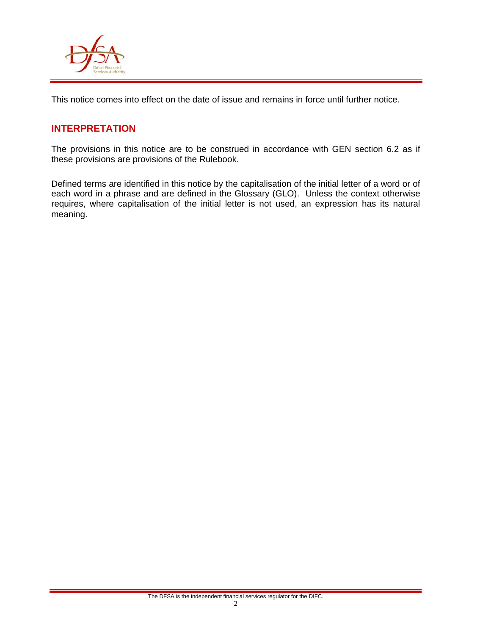

This notice comes into effect on the date of issue and remains in force until further notice.

## **INTERPRETATION**

The provisions in this notice are to be construed in accordance with GEN section 6.2 as if these provisions are provisions of the Rulebook.

Defined terms are identified in this notice by the capitalisation of the initial letter of a word or of each word in a phrase and are defined in the Glossary (GLO). Unless the context otherwise requires, where capitalisation of the initial letter is not used, an expression has its natural meaning.